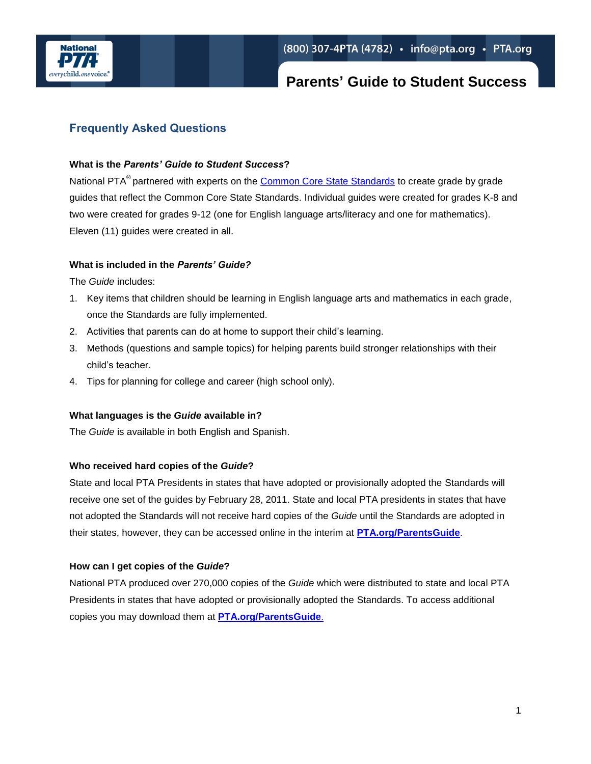

## **Parents' Guide to Student Success**

### **Frequently Asked Questions**

#### **What is the** *Parents' Guide to Student Success***?**

National PTA<sup>®</sup> partnered with experts on the [Common Core State Standards](http://www.pta.org/ccssi) to create grade by grade guides that reflect the Common Core State Standards. Individual guides were created for grades K-8 and two were created for grades 9-12 (one for English language arts/literacy and one for mathematics). Eleven (11) guides were created in all.

#### **What is included in the** *Parents' Guide?*

The *Guide* includes:

- 1. Key items that children should be learning in English language arts and mathematics in each grade, once the Standards are fully implemented.
- 2. Activities that parents can do at home to support their child's learning.
- 3. Methods (questions and sample topics) for helping parents build stronger relationships with their child's teacher.
- 4. Tips for planning for college and career (high school only).

#### **What languages is the** *Guide* **available in?**

The *Guide* is available in both English and Spanish.

#### **Who received hard copies of the** *Guide***?**

State and local PTA Presidents in states that have adopted or provisionally adopted the Standards will receive one set of the guides by February 28, 2011. State and local PTA presidents in states that have not adopted the Standards will not receive hard copies of the *Guide* until the Standards are adopted in their states, however, they can be accessed online in the interim at **[PTA.org/ParentsGuide](http://www.pta.org/ParentsGuide)**.

#### **How can I get copies of the** *Guide***?**

National PTA produced over 270,000 copies of the *Guide* which were distributed to state and local PTA Presidents in states that have adopted or provisionally adopted the Standards. To access additional copies you may download them at **[PTA.org/ParentsGuide](http://www.pta.org/parentsguide)**.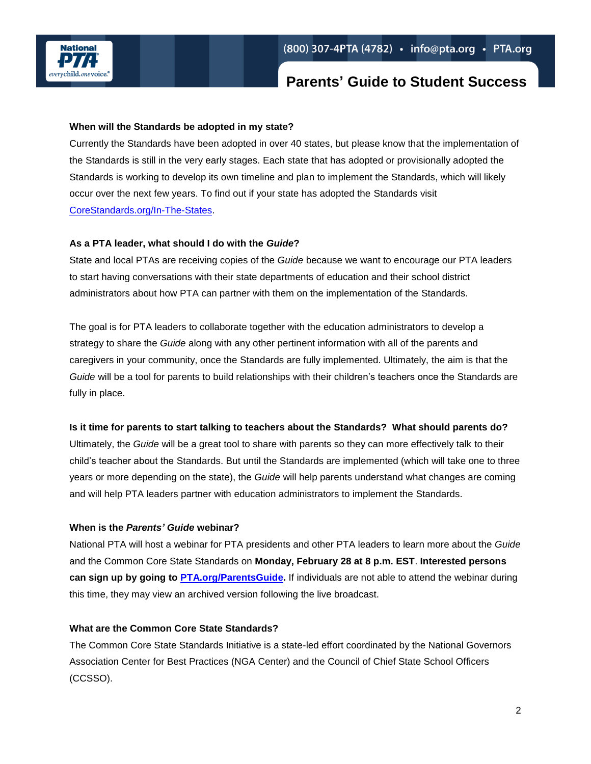

## **Parents' Guide to Student Success**

#### **When will the Standards be adopted in my state?**

Currently the Standards have been adopted in over 40 states, but please know that the implementation of the Standards is still in the very early stages. Each state that has adopted or provisionally adopted the Standards is working to develop its own timeline and plan to implement the Standards, which will likely occur over the next few years. To find out if your state has adopted the Standards visit [CoreStandards.org/In-The-States.](http://www.corestandards.org/in-the-states)

#### **As a PTA leader, what should I do with the** *Guide***?**

State and local PTAs are receiving copies of the *Guide* because we want to encourage our PTA leaders to start having conversations with their state departments of education and their school district administrators about how PTA can partner with them on the implementation of the Standards.

The goal is for PTA leaders to collaborate together with the education administrators to develop a strategy to share the *Guide* along with any other pertinent information with all of the parents and caregivers in your community, once the Standards are fully implemented. Ultimately, the aim is that the *Guide* will be a tool for parents to build relationships with their children's teachers once the Standards are fully in place.

#### **Is it time for parents to start talking to teachers about the Standards? What should parents do?**

Ultimately, the *Guide* will be a great tool to share with parents so they can more effectively talk to their child's teacher about the Standards. But until the Standards are implemented (which will take one to three years or more depending on the state), the *Guide* will help parents understand what changes are coming and will help PTA leaders partner with education administrators to implement the Standards.

#### **When is the** *Parents' Guide* **webinar?**

National PTA will host a webinar for PTA presidents and other PTA leaders to learn more about the *Guide* and the Common Core State Standards on **Monday, February 28 at 8 p.m. EST**. **Interested persons can sign up by going to [PTA.org/ParentsGuide.](http://www.pta.org/ParentsGuide)** If individuals are not able to attend the webinar during this time, they may view an archived version following the live broadcast.

#### **What are the Common Core State Standards?**

The Common Core State Standards Initiative is a state-led effort coordinated by the National Governors Association Center for Best Practices (NGA Center) and the Council of Chief State School Officers (CCSSO).